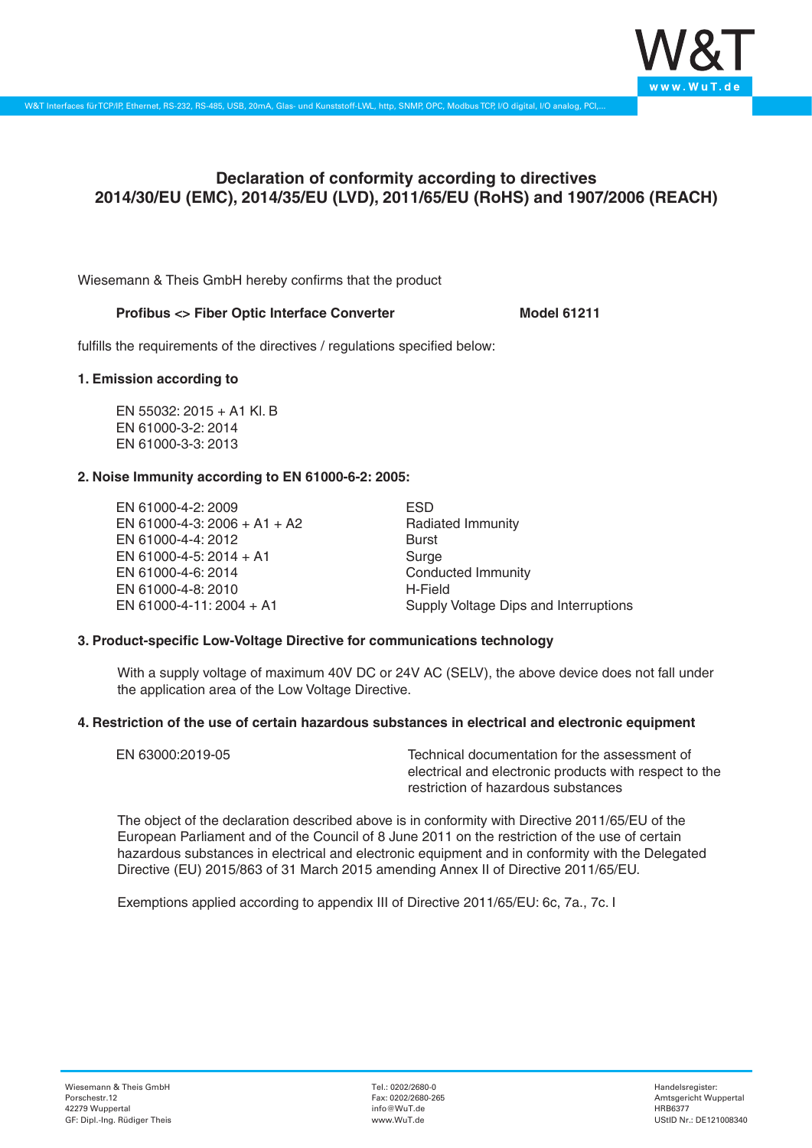

# **Declaration of conformity according to directives 2014/30/EU (EMC), 2014/35/EU (LVD), 2011/65/EU (RoHS) and 1907/2006 (REACH)**

Wiesemann & Theis GmbH hereby confirms that the product

## Profibus <> Fiber Optic Interface Converter **Model 61211**

fulfills the requirements of the directives / regulations specified below:

#### **1. Emission according to**

EN 55032: 2015 + A1 Kl. B EN 61000-3-2: 2014 EN 61000-3-3: 2013

# **2. Noise Immunity according to EN 61000-6-2: 2005:**

EN 61000-4-2: 2009 EN 61000-4-3: 2006 + A1 + A2 EN 61000-4-4: 2012 EN 61000-4-5: 2014 + A1 EN 61000-4-6: 2014 EN 61000-4-8: 2010 EN 61000-4-11: 2004 + A1

ESD Radiated Immunity Burst Surge Conducted Immunity H-Field Supply Voltage Dips and Interruptions

# **3. Product-specific Low-Voltage Directive for communications technology**

With a supply voltage of maximum 40V DC or 24V AC (SELV), the above device does not fall under the application area of the Low Voltage Directive.

#### **4. Restriction of the use of certain hazardous substances in electrical and electronic equipment**

| EN 63000:2019-05 | Technical documentation for the assessment of          |
|------------------|--------------------------------------------------------|
|                  | electrical and electronic products with respect to the |
|                  | restriction of hazardous substances                    |

The object of the declaration described above is in conformity with Directive 2011/65/EU of the European Parliament and of the Council of 8 June 2011 on the restriction of the use of certain hazardous substances in electrical and electronic equipment and in conformity with the Delegated Directive (EU) 2015/863 of 31 March 2015 amending Annex II of Directive 2011/65/EU.

Exemptions applied according to appendix III of Directive 2011/65/EU: 6c, 7a., 7c. I